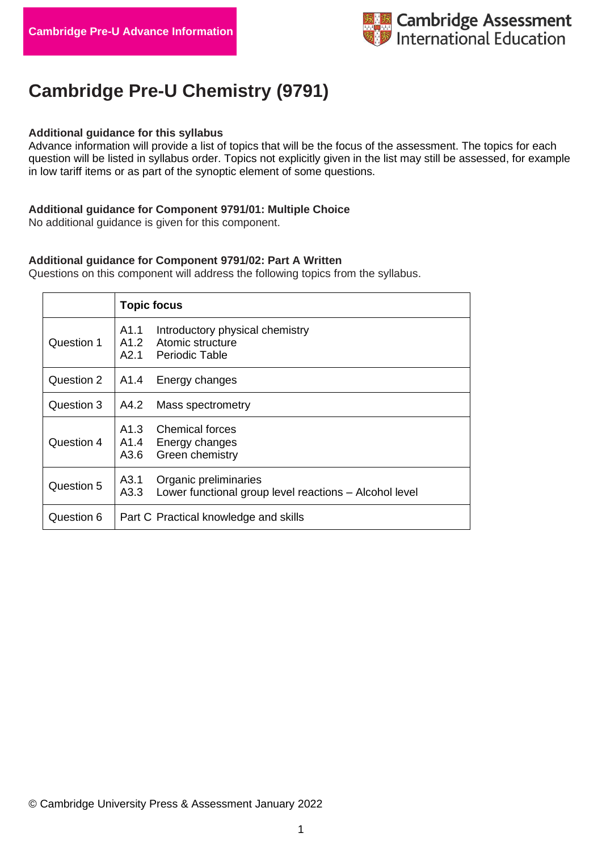

# **Cambridge Pre-U Chemistry (9791)**

#### **Additional guidance for this syllabus**

Advance information will provide a list of topics that will be the focus of the assessment. The topics for each question will be listed in syllabus order. Topics not explicitly given in the list may still be assessed, for example in low tariff items or as part of the synoptic element of some questions.

#### **Additional guidance for Component 9791/01: Multiple Choice**

No additional guidance is given for this component.

#### **Additional guidance for Component 9791/02: Part A Written**

Questions on this component will address the following topics from the syllabus.

|            | <b>Topic focus</b>                                                                              |  |  |
|------------|-------------------------------------------------------------------------------------------------|--|--|
| Question 1 | A1.1<br>Introductory physical chemistry<br>A1.2<br>Atomic structure<br>A2.1<br>Periodic Table   |  |  |
| Question 2 | A1.4<br>Energy changes                                                                          |  |  |
| Question 3 | Mass spectrometry<br>A4.2                                                                       |  |  |
| Question 4 | A1.3 Chemical forces<br>A1.4<br>Energy changes<br>Green chemistry<br>A3.6                       |  |  |
| Question 5 | Organic preliminaries<br>A3.1<br>A3.3<br>Lower functional group level reactions – Alcohol level |  |  |
| Question 6 | Part C Practical knowledge and skills                                                           |  |  |